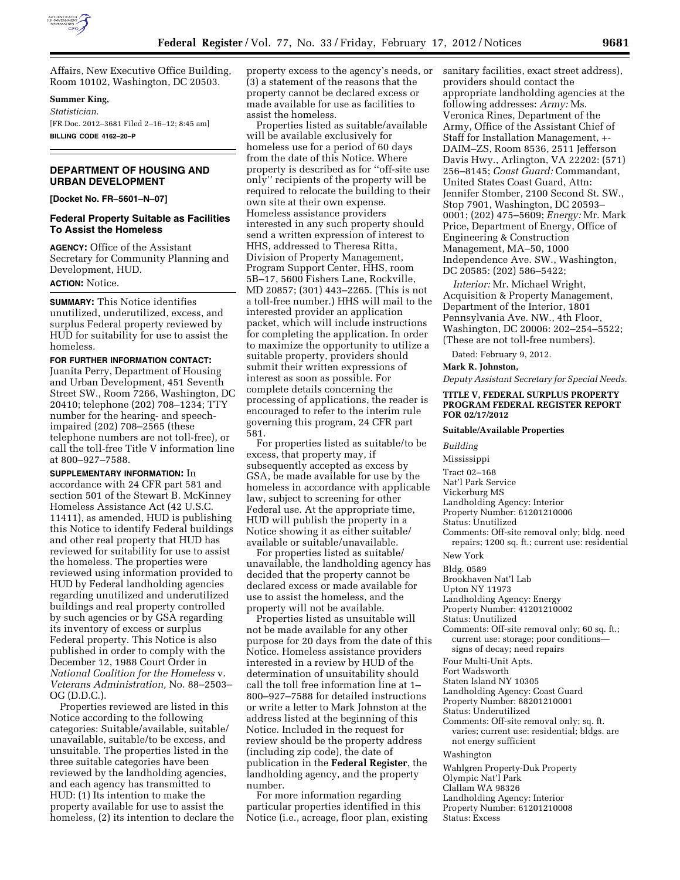

Affairs, New Executive Office Building, Room 10102, Washington, DC 20503.

## **Summer King,**

*Statistician.*  [FR Doc. 2012–3681 Filed 2–16–12; 8:45 am] **BILLING CODE 4162–20–P** 

# **DEPARTMENT OF HOUSING AND URBAN DEVELOPMENT**

**[Docket No. FR–5601–N–07]** 

# **Federal Property Suitable as Facilities To Assist the Homeless**

**AGENCY:** Office of the Assistant Secretary for Community Planning and Development, HUD.

## **ACTION:** Notice.

**SUMMARY:** This Notice identifies unutilized, underutilized, excess, and surplus Federal property reviewed by HUD for suitability for use to assist the homeless.

**FOR FURTHER INFORMATION CONTACT:**  Juanita Perry, Department of Housing and Urban Development, 451 Seventh Street SW., Room 7266, Washington, DC 20410; telephone (202) 708–1234; TTY number for the hearing- and speechimpaired (202) 708–2565 (these telephone numbers are not toll-free), or call the toll-free Title V information line at 800–927–7588.

**SUPPLEMENTARY INFORMATION:** In accordance with 24 CFR part 581 and section 501 of the Stewart B. McKinney Homeless Assistance Act (42 U.S.C. 11411), as amended, HUD is publishing this Notice to identify Federal buildings and other real property that HUD has reviewed for suitability for use to assist the homeless. The properties were reviewed using information provided to HUD by Federal landholding agencies regarding unutilized and underutilized buildings and real property controlled by such agencies or by GSA regarding its inventory of excess or surplus Federal property. This Notice is also published in order to comply with the December 12, 1988 Court Order in *National Coalition for the Homeless* v. *Veterans Administration,* No. 88–2503– OG (D.D.C.).

Properties reviewed are listed in this Notice according to the following categories: Suitable/available, suitable/ unavailable, suitable/to be excess, and unsuitable. The properties listed in the three suitable categories have been reviewed by the landholding agencies, and each agency has transmitted to HUD: (1) Its intention to make the property available for use to assist the homeless, (2) its intention to declare the property excess to the agency's needs, or (3) a statement of the reasons that the property cannot be declared excess or made available for use as facilities to assist the homeless.

Properties listed as suitable/available will be available exclusively for homeless use for a period of 60 days from the date of this Notice. Where property is described as for ''off-site use only'' recipients of the property will be required to relocate the building to their own site at their own expense. Homeless assistance providers interested in any such property should send a written expression of interest to HHS, addressed to Theresa Ritta, Division of Property Management, Program Support Center, HHS, room 5B–17, 5600 Fishers Lane, Rockville, MD 20857; (301) 443–2265. (This is not a toll-free number.) HHS will mail to the interested provider an application packet, which will include instructions for completing the application. In order to maximize the opportunity to utilize a suitable property, providers should submit their written expressions of interest as soon as possible. For complete details concerning the processing of applications, the reader is encouraged to refer to the interim rule governing this program, 24 CFR part 581.

For properties listed as suitable/to be excess, that property may, if subsequently accepted as excess by GSA, be made available for use by the homeless in accordance with applicable law, subject to screening for other Federal use. At the appropriate time, HUD will publish the property in a Notice showing it as either suitable/ available or suitable/unavailable.

For properties listed as suitable/ unavailable, the landholding agency has decided that the property cannot be declared excess or made available for use to assist the homeless, and the property will not be available.

Properties listed as unsuitable will not be made available for any other purpose for 20 days from the date of this Notice. Homeless assistance providers interested in a review by HUD of the determination of unsuitability should call the toll free information line at 1– 800–927–7588 for detailed instructions or write a letter to Mark Johnston at the address listed at the beginning of this Notice. Included in the request for review should be the property address (including zip code), the date of publication in the **Federal Register**, the landholding agency, and the property number.

For more information regarding particular properties identified in this Notice (i.e., acreage, floor plan, existing sanitary facilities, exact street address), providers should contact the appropriate landholding agencies at the following addresses: *Army:* Ms. Veronica Rines, Department of the Army, Office of the Assistant Chief of Staff for Installation Management, +- DAIM–ZS, Room 8536, 2511 Jefferson Davis Hwy., Arlington, VA 22202: (571) 256–8145; *Coast Guard:* Commandant, United States Coast Guard, Attn: Jennifer Stomber, 2100 Second St. SW., Stop 7901, Washington, DC 20593– 0001; (202) 475–5609; *Energy:* Mr. Mark Price, Department of Energy, Office of Engineering & Construction Management, MA–50, 1000 Independence Ave. SW., Washington, DC 20585: (202) 586–5422;

*Interior:* Mr. Michael Wright, Acquisition & Property Management, Department of the Interior, 1801 Pennsylvania Ave. NW., 4th Floor, Washington, DC 20006: 202–254–5522; (These are not toll-free numbers).

Dated: February 9, 2012.

### **Mark R. Johnston,**

*Deputy Assistant Secretary for Special Needs.* 

#### **TITLE V, FEDERAL SURPLUS PROPERTY PROGRAM FEDERAL REGISTER REPORT FOR 02/17/2012**

#### **Suitable/Available Properties**

*Building* 

Mississippi

- Tract 02–168
- Nat'l Park Service
- Vickerburg MS

Landholding Agency: Interior Property Number: 61201210006

- Status: Unutilized
- Comments: Off-site removal only; bldg. need repairs; 1200 sq. ft.; current use: residential

New York

- Bldg. 0589
- Brookhaven Nat'l Lab
- Upton NY 11973
- Landholding Agency: Energy

Property Number: 41201210002

- Status: Unutilized
- Comments: Off-site removal only; 60 sq. ft.; current use: storage; poor conditions—
- signs of decay; need repairs Four Multi-Unit Apts.
- Fort Wadsworth
- Staten Island NY 10305
- Landholding Agency: Coast Guard
- Property Number: 88201210001
- Status: Underutilized
- Comments: Off-site removal only; sq. ft. varies; current use: residential; bldgs. are
- not energy sufficient

Washington

Wahlgren Property-Duk Property Olympic Nat'l Park Clallam WA 98326

Landholding Agency: Interior

- Property Number: 61201210008
- Status: Excess